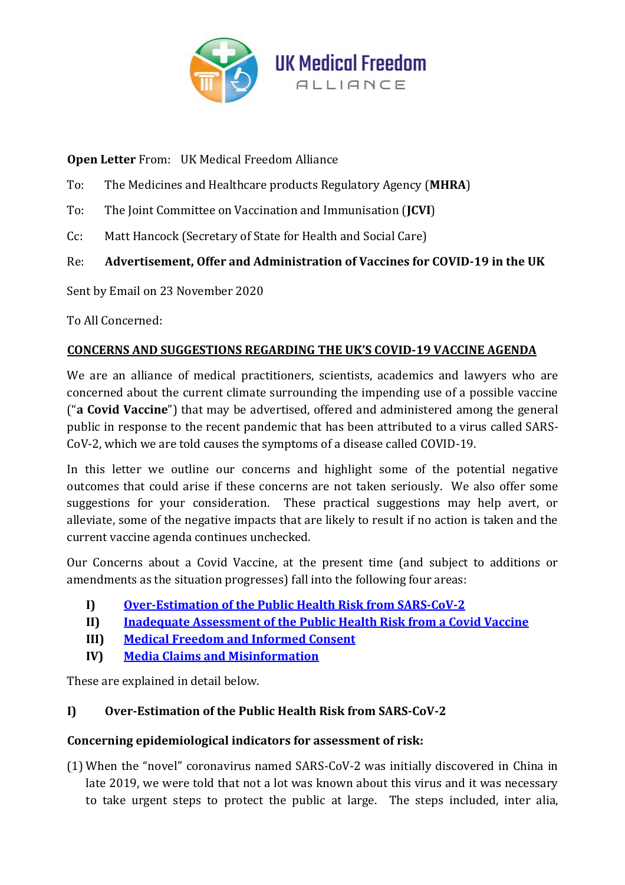

**Open Letter** From: UK Medical Freedom Alliance

To: The Medicines and Healthcare products Regulatory Agency (**MHRA**)

To: The Joint Committee on Vaccination and Immunisation (**JCVI**)

Cc: Matt Hancock (Secretary of State for Health and Social Care)

# Re: **Advertisement, Offer and Administration of Vaccines for COVID-19 in the UK**

Sent by Email on 23 November 2020

To All Concerned:

## **CONCERNS AND SUGGESTIONS REGARDING THE UK'S COVID-19 VACCINE AGENDA**

We are an alliance of medical practitioners, scientists, academics and lawyers who are concerned about the current climate surrounding the impending use of a possible vaccine ("**a Covid Vaccine**") that may be advertised, offered and administered among the general public in response to the recent pandemic that has been attributed to a virus called SARS-CoV-2, which we are told causes the symptoms of a disease called COVID-19.

In this letter we outline our concerns and highlight some of the potential negative outcomes that could arise if these concerns are not taken seriously. We also offer some suggestions for your consideration. These practical suggestions may help avert, or alleviate, some of the negative impacts that are likely to result if no action is taken and the current vaccine agenda continues unchecked.

Our Concerns about a Covid Vaccine, at the present time (and subject to additions or amendments as the situation progresses) fall into the following four areas:

- **I) [Over-Estimation of the Public Health Risk](#page-0-0) from SARS-CoV-2**
- **II) [Inadequate Assessment of the Public Health Risk](#page-3-0) from a Covid Vaccine**
- **III) [Medical Freedom and](#page-8-0) Informed Consent**
- **IV) [Media Claims and Misinformation](#page-11-0)**

These are explained in detail below.

# <span id="page-0-0"></span>**I) Over-Estimation of the Public Health Risk from SARS-CoV-2**

### **Concerning epidemiological indicators for assessment of risk:**

(1) When the "novel" coronavirus named SARS-CoV-2 was initially discovered in China in late 2019, we were told that not a lot was known about this virus and it was necessary to take urgent steps to protect the public at large. The steps included, inter alia,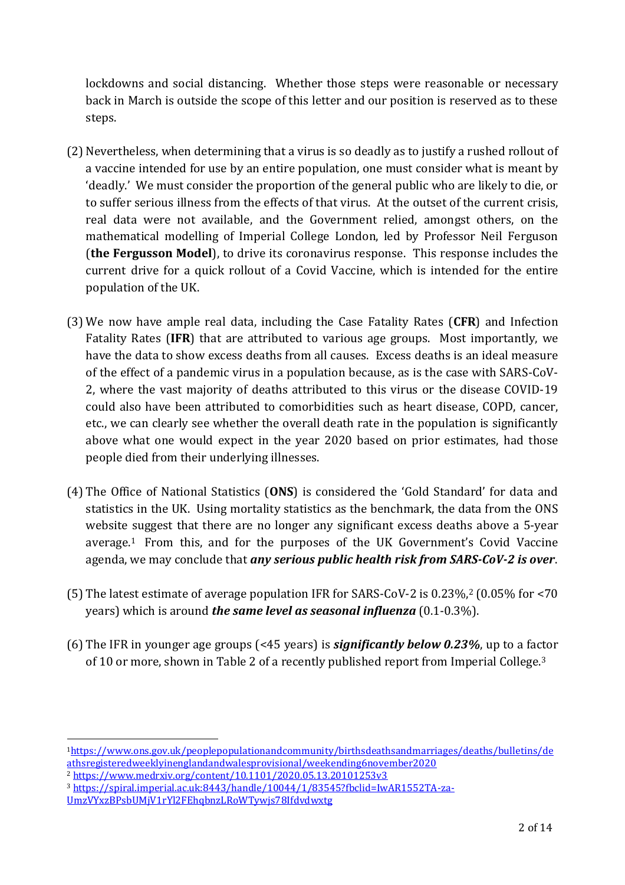lockdowns and social distancing. Whether those steps were reasonable or necessary back in March is outside the scope of this letter and our position is reserved as to these steps.

- (2) Nevertheless, when determining that a virus is so deadly as to justify a rushed rollout of a vaccine intended for use by an entire population, one must consider what is meant by 'deadly.' We must consider the proportion of the general public who are likely to die, or to suffer serious illness from the effects of that virus. At the outset of the current crisis, real data were not available, and the Government relied, amongst others, on the mathematical modelling of Imperial College London, led by Professor Neil Ferguson (**the Fergusson Model**), to drive its coronavirus response. This response includes the current drive for a quick rollout of a Covid Vaccine, which is intended for the entire population of the UK.
- (3) We now have ample real data, including the Case Fatality Rates (**CFR**) and Infection Fatality Rates (**IFR**) that are attributed to various age groups. Most importantly, we have the data to show excess deaths from all causes. Excess deaths is an ideal measure of the effect of a pandemic virus in a population because, as is the case with SARS-CoV-2, where the vast majority of deaths attributed to this virus or the disease COVID-19 could also have been attributed to comorbidities such as heart disease, COPD, cancer, etc., we can clearly see whether the overall death rate in the population is significantly above what one would expect in the year 2020 based on prior estimates, had those people died from their underlying illnesses.
- (4) The Office of National Statistics (**ONS**) is considered the 'Gold Standard' for data and statistics in the UK. Using mortality statistics as the benchmark, the data from the ONS website suggest that there are no longer any significant excess deaths above a 5-year average.<sup>1</sup> From this, and for the purposes of the UK Government's Covid Vaccine agenda, we may conclude that *any serious public health risk from SARS-CoV-2 is over*.
- (5) The latest estimate of average population IFR for SARS-CoV-2 is 0.23%,<sup>2</sup> (0.05% for <70 years) which is around *the same level as seasonal influenza* (0.1-0.3%).
- (6) The IFR in younger age groups (<45 years) is *significantly below 0.23%*, up to a factor of 10 or more, shown in Table 2 of a recently published report from Imperial College.<sup>3</sup>

<sup>1</sup>https://www.ons.gov.uk/peoplepopulationandcommunity/birthsdeathsandmarriages/deaths/bulletins/de athsregisteredweeklyinenglandandwalesprovisional/weekending6november2020

<sup>2</sup> https://www.medrxiv.org/content/10.1101/2020.05.13.20101253v3

<sup>3</sup> https://spiral.imperial.ac.uk:8443/handle/10044/1/83545?fbclid=IwAR1552TA-za-

UmzVYxzBPsbUMjV1rYl2FEhqbnzLRoWTywjs78Ifdvdwxtg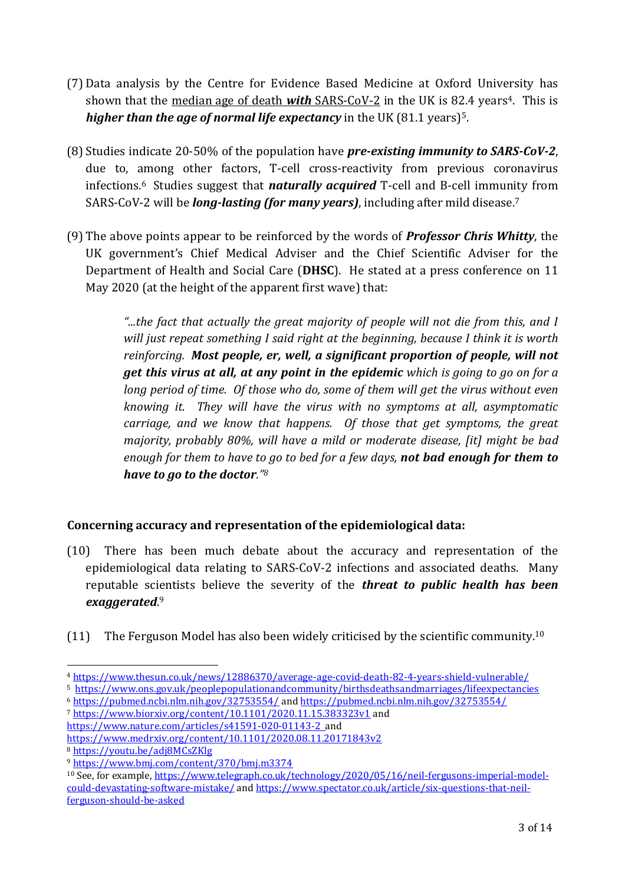- (7) Data analysis by the Centre for Evidence Based Medicine at Oxford University has shown that the median age of death *with* SARS-CoV-2 in the UK is 82.4 years<sup>4</sup>. This is *higher than the age of normal life expectancy* in the UK (81.1 years)<sup>5</sup>.
- (8) Studies indicate 20-50% of the population have *pre-existing immunity to SARS-CoV-2*, due to, among other factors, T-cell cross-reactivity from previous coronavirus infections. <sup>6</sup> Studies suggest that *naturally acquired* T-cell and B-cell immunity from SARS-CoV-2 will be *long-lasting (for many years)*, including after mild disease.<sup>7</sup>
- (9) The above points appear to be reinforced by the words of *Professor Chris Whitty*, the UK government's Chief Medical Adviser and the Chief Scientific Adviser for the Department of Health and Social Care (**DHSC**). He stated at a press conference on 11 May 2020 (at the height of the apparent first wave) that:

*"...the fact that actually the great majority of people will not die from this, and I will just repeat something I said right at the beginning, because I think it is worth reinforcing. Most people, er, well, a significant proportion of people, will not get this virus at all, at any point in the epidemic which is going to go on for a long period of time. Of those who do, some of them will get the virus without even knowing it. They will have the virus with no symptoms at all, asymptomatic carriage, and we know that happens. Of those that get symptoms, the great majority, probably 80%, will have a mild or moderate disease, [it] might be bad enough for them to have to go to bed for a few days, not bad enough for them to have to go to the doctor."<sup>8</sup>*

# **Concerning accuracy and representation of the epidemiological data:**

- (10) There has been much debate about the accuracy and representation of the epidemiological data relating to SARS-CoV-2 infections and associated deaths. Many reputable scientists believe the severity of the *threat to public health has been exaggerated*. 9
- (11) The Ferguson Model has also been widely criticised by the scientific community.<sup>10</sup>

<sup>4</sup> https://www.thesun.co.uk/news/12886370/average-age-covid-death-82-4-years-shield-vulnerable/

<sup>5</sup> https://www.ons.gov.uk/peoplepopulationandcommunity/birthsdeathsandmarriages/lifeexpectancies

<sup>6</sup> https://pubmed.ncbi.nlm.nih.gov/32753554/ and https://pubmed.ncbi.nlm.nih.gov/32753554/ <sup>7</sup> https://www.biorxiv.org/content/10.1101/2020.11.15.383323v1 and

https://www.nature.com/articles/s41591-020-01143-2 and

https://www.medrxiv.org/content/10.1101/2020.08.11.20171843v2

<sup>8</sup> https://youtu.be/adj8MCsZKlg

<sup>9</sup> https://www.bmj.com/content/370/bmj.m3374

<sup>10</sup> See, for example, https://www.telegraph.co.uk/technology/2020/05/16/neil-fergusons-imperial-modelcould-devastating-software-mistake/ and https://www.spectator.co.uk/article/six-questions-that-neilferguson-should-be-asked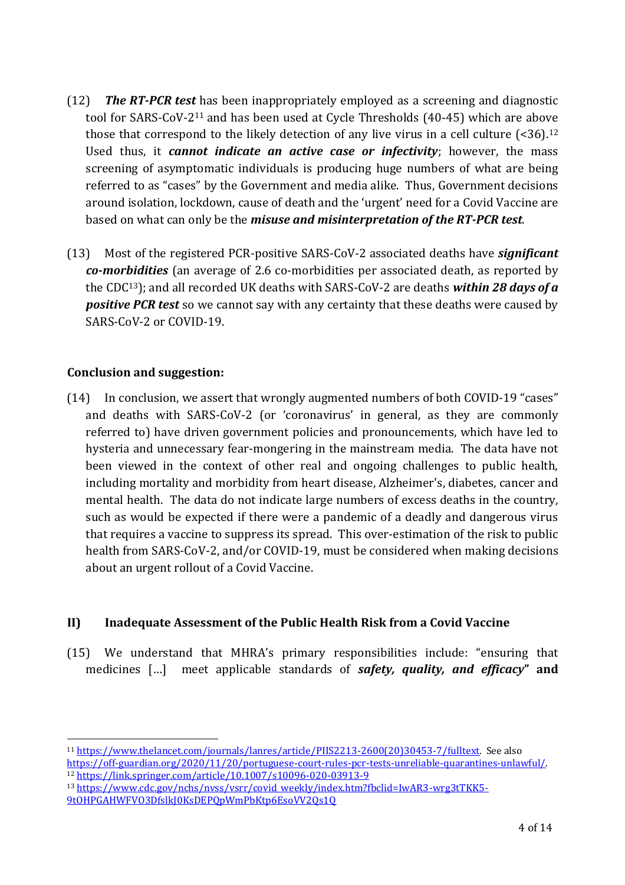- (12) *The RT-PCR test* has been inappropriately employed as a screening and diagnostic tool for SARS-CoV-2<sup>11</sup> and has been used at Cycle Thresholds (40-45) which are above those that correspond to the likely detection of any live virus in a cell culture  $($ <36).<sup>12</sup> Used thus, it *cannot indicate an active case or infectivity*; however, the mass screening of asymptomatic individuals is producing huge numbers of what are being referred to as "cases" by the Government and media alike. Thus, Government decisions around isolation, lockdown, cause of death and the 'urgent' need for a Covid Vaccine are based on what can only be the *misuse and misinterpretation of the RT-PCR test*.
- (13) Most of the registered PCR-positive SARS-CoV-2 associated deaths have *significant co-morbidities* (an average of 2.6 co-morbidities per associated death, as reported by the CDC13); and all recorded UK deaths with SARS-CoV-2 are deaths *within 28 days of a positive PCR test* so we cannot say with any certainty that these deaths were caused by SARS-CoV-2 or COVID-19.

### **Conclusion and suggestion:**

(14) In conclusion, we assert that wrongly augmented numbers of both COVID-19 "cases" and deaths with SARS-CoV-2 (or 'coronavirus' in general, as they are commonly referred to) have driven government policies and pronouncements, which have led to hysteria and unnecessary fear-mongering in the mainstream media. The data have not been viewed in the context of other real and ongoing challenges to public health, including mortality and morbidity from heart disease, Alzheimer's, diabetes, cancer and mental health. The data do not indicate large numbers of excess deaths in the country, such as would be expected if there were a pandemic of a deadly and dangerous virus that requires a vaccine to suppress its spread. This over-estimation of the risk to public health from SARS-CoV-2, and/or COVID-19, must be considered when making decisions about an urgent rollout of a Covid Vaccine.

### <span id="page-3-0"></span>**II) Inadequate Assessment of the Public Health Risk from a Covid Vaccine**

(15) We understand that MHRA's primary responsibilities include: "ensuring that medicines […] meet applicable standards of *safety, quality, and efficacy***" and** 

<sup>11</sup> https://www.thelancet.com/journals/lanres/article/PIIS2213-2600(20)30453-7/fulltext. See also https://off-guardian.org/2020/11/20/portuguese-court-rules-pcr-tests-unreliable-quarantines-unlawful/.

<sup>12</sup> https://link.springer.com/article/10.1007/s10096-020-03913-9

<sup>13</sup> https://www.cdc.gov/nchs/nvss/vsrr/covid\_weekly/index.htm?fbclid=IwAR3-wrg3tTKK5- 9tOHPGAHWFVO3DfslkJ0KsDEPQpWmPbKtp6EsoVV2Qs1Q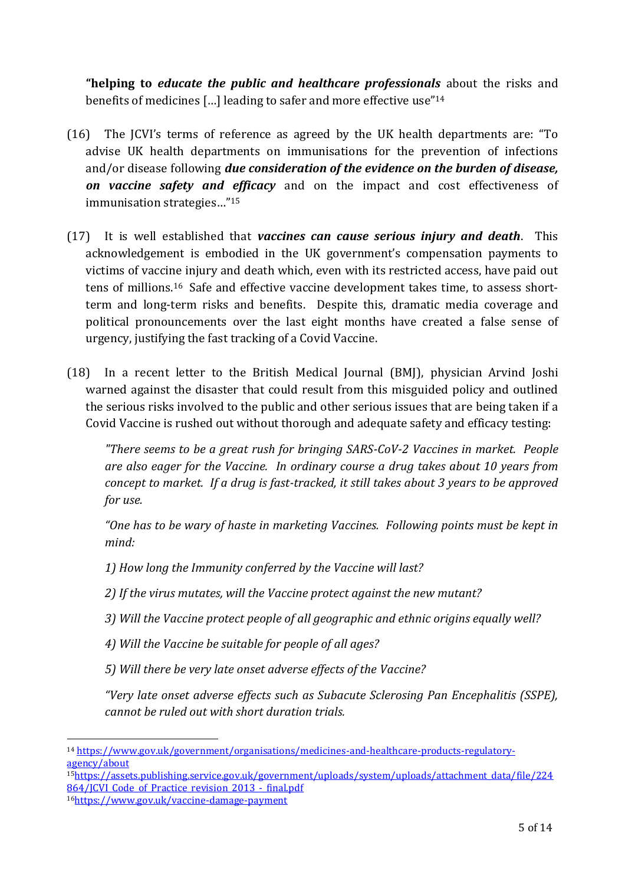**"helping to** *educate the public and healthcare professionals* about the risks and benefits of medicines […] leading to safer and more effective use"<sup>14</sup>

- (16) The JCVI's terms of reference as agreed by the UK health departments are: "To advise UK health departments on immunisations for the prevention of infections and/or disease following *due consideration of the evidence on the burden of disease, on vaccine safety and efficacy* and on the impact and cost effectiveness of immunisation strategies…"<sup>15</sup>
- (17) It is well established that *vaccines can cause serious injury and death*. This acknowledgement is embodied in the UK government's compensation payments to victims of vaccine injury and death which, even with its restricted access, have paid out tens of millions.16 Safe and effective vaccine development takes time, to assess shortterm and long-term risks and benefits. Despite this, dramatic media coverage and political pronouncements over the last eight months have created a false sense of urgency, justifying the fast tracking of a Covid Vaccine.
- (18) In a recent letter to the British Medical Journal (BMJ), physician Arvind Joshi warned against the disaster that could result from this misguided policy and outlined the serious risks involved to the public and other serious issues that are being taken if a Covid Vaccine is rushed out without thorough and adequate safety and efficacy testing:

*"There seems to be a great rush for bringing SARS-CoV-2 Vaccines in market. People are also eager for the Vaccine. In ordinary course a drug takes about 10 years from concept to market. If a drug is fast-tracked, it still takes about 3 years to be approved for use.*

*"One has to be wary of haste in marketing Vaccines. Following points must be kept in mind:*

*1) How long the Immunity conferred by the Vaccine will last?*

*2) If the virus mutates, will the Vaccine protect against the new mutant?*

- *3) Will the Vaccine protect people of all geographic and ethnic origins equally well?*
- *4) Will the Vaccine be suitable for people of all ages?*

*5) Will there be very late onset adverse effects of the Vaccine?*

*"Very late onset adverse effects such as Subacute Sclerosing Pan Encephalitis (SSPE), cannot be ruled out with short duration trials.*

<sup>14</sup> https://www.gov.uk/government/organisations/medicines-and-healthcare-products-regulatoryagency/about

<sup>15</sup>https://assets.publishing.service.gov.uk/government/uploads/system/uploads/attachment\_data/file/224 864/JCVI\_Code\_of\_Practice\_revision\_2013\_-\_final.pdf

<sup>16</sup>https://www.gov.uk/vaccine-damage-payment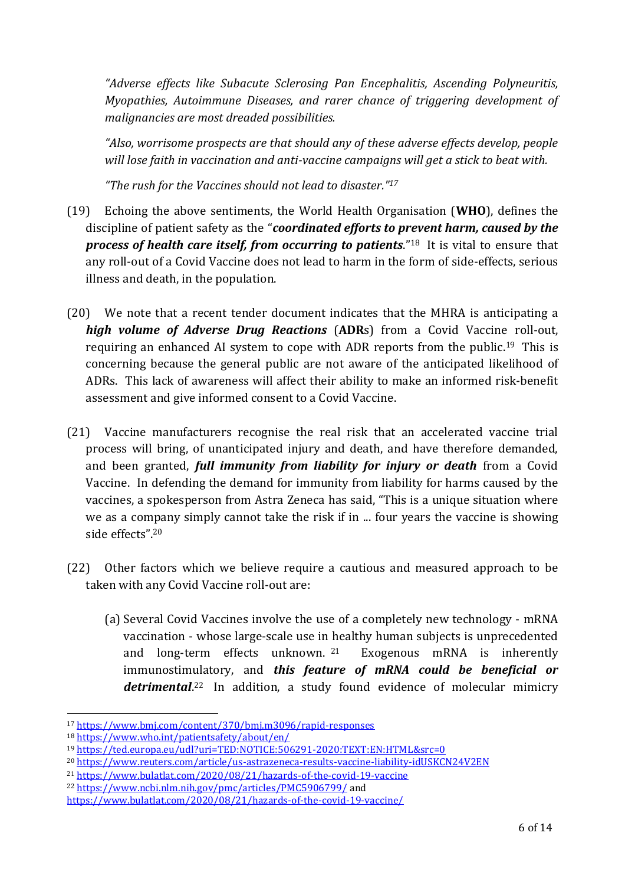*"Adverse effects like Subacute Sclerosing Pan Encephalitis, Ascending Polyneuritis, Myopathies, Autoimmune Diseases, and rarer chance of triggering development of malignancies are most dreaded possibilities.*

*"Also, worrisome prospects are that should any of these adverse effects develop, people will lose faith in vaccination and anti-vaccine campaigns will get a stick to beat with.*

*"The rush for the Vaccines should not lead to disaster."<sup>17</sup>*

- (19) Echoing the above sentiments, the World Health Organisation (**WHO**), defines the discipline of patient safety as the "*coordinated efforts to prevent harm, caused by the process of health care itself, from occurring to patients*." <sup>18</sup> It is vital to ensure that any roll-out of a Covid Vaccine does not lead to harm in the form of side-effects, serious illness and death, in the population.
- (20) We note that a recent tender document indicates that the MHRA is anticipating a *high volume of Adverse Drug Reactions* (**ADR**s) from a Covid Vaccine roll-out, requiring an enhanced AI system to cope with ADR reports from the public.19 This is concerning because the general public are not aware of the anticipated likelihood of ADRs. This lack of awareness will affect their ability to make an informed risk-benefit assessment and give informed consent to a Covid Vaccine.
- (21) Vaccine manufacturers recognise the real risk that an accelerated vaccine trial process will bring, of unanticipated injury and death, and have therefore demanded, and been granted, *full immunity from liability for injury or death* from a Covid Vaccine. In defending the demand for immunity from liability for harms caused by the vaccines, a spokesperson from Astra Zeneca has said, "This is a unique situation where we as a company simply cannot take the risk if in ... four years the vaccine is showing side effects".<sup>20</sup>
- (22) Other factors which we believe require a cautious and measured approach to be taken with any Covid Vaccine roll-out are:
	- (a) Several Covid Vaccines involve the use of a completely new technology mRNA vaccination - whose large-scale use in healthy human subjects is unprecedented and long-term effects unknown. <sup>21</sup> Exogenous mRNA is inherently immunostimulatory, and *this feature of mRNA could be beneficial or*  detrimental.<sup>22</sup> In addition, a study found evidence of molecular mimicry

<sup>17</sup> https://www.bmj.com/content/370/bmj.m3096/rapid-responses

<sup>18</sup> https://www.who.int/patientsafety/about/en/

<sup>19</sup> https://ted.europa.eu/udl?uri=TED:NOTICE:506291-2020:TEXT:EN:HTML&src=0

<sup>20</sup> https://www.reuters.com/article/us-astrazeneca-results-vaccine-liability-idUSKCN24V2EN

<sup>21</sup> https://www.bulatlat.com/2020/08/21/hazards-of-the-covid-19-vaccine

<sup>22</sup> https://www.ncbi.nlm.nih.gov/pmc/articles/PMC5906799/ and

https://www.bulatlat.com/2020/08/21/hazards-of-the-covid-19-vaccine/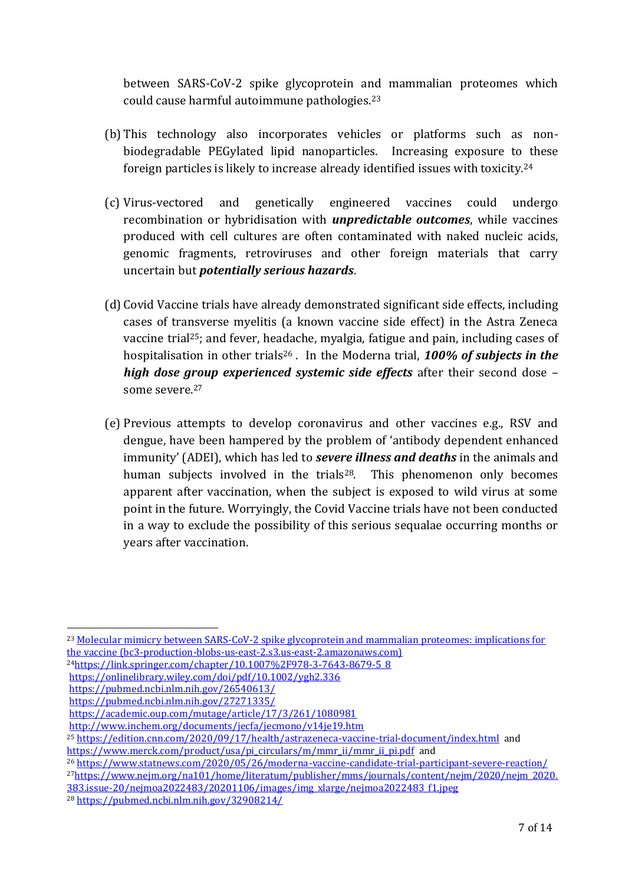between SARS-CoV-2 spike glycoprotein and mammalian proteomes which could cause harmful autoimmune pathologies.<sup>23</sup>

- (b) This technology also incorporates vehicles or platforms such as nonbiodegradable PEGylated lipid nanoparticles. Increasing exposure to these foreign particles is likely to increase already identified issues with toxicity.<sup>24</sup>
- (c) Virus-vectored and genetically engineered vaccines could undergo recombination or hybridisation with *unpredictable outcomes*, while vaccines produced with cell cultures are often contaminated with naked nucleic acids, genomic fragments, retroviruses and other foreign materials that carry uncertain but *potentially serious hazards*.
- (d) Covid Vaccine trials have already demonstrated significant side effects, including cases of transverse myelitis (a known vaccine side effect) in the Astra Zeneca vaccine trial25; and fever, headache, myalgia, fatigue and pain, including cases of hospitalisation in other trials<sup>26</sup> . In the Moderna trial, *100% of subjects in the high dose group experienced systemic side effects* after their second dose – some severe. 27
- (e) Previous attempts to develop coronavirus and other vaccines e.g., RSV and dengue, have been hampered by the problem of 'antibody dependent enhanced immunity' (ADEI), which has led to *severe illness and deaths* in the animals and human subjects involved in the trials<sup>28</sup>. This phenomenon only becomes apparent after vaccination, when the subject is exposed to wild virus at some point in the future. Worryingly, the Covid Vaccine trials have not been conducted in a way to exclude the possibility of this serious sequalae occurring months or years after vaccination.

- <sup>24</sup>https://link.springer.com/chapter/10.1007%2F978-3-7643-8679-5\_8
- https://onlinelibrary.wiley.com/doi/pdf/10.1002/ygh2.336

<sup>27</sup>https://www.nejm.org/na101/home/literatum/publisher/mms/journals/content/nejm/2020/nejm\_2020. 383.issue-20/nejmoa2022483/20201106/images/img\_xlarge/nejmoa2022483\_f1.jpeg

<sup>23</sup> Molecular mimicry between SARS-CoV-2 spike glycoprotein and mammalian proteomes: implications for the vaccine (bc3-production-blobs-us-east-2.s3.us-east-2.amazonaws.com)

https://pubmed.ncbi.nlm.nih.gov/26540613/

https://pubmed.ncbi.nlm.nih.gov/27271335/

https://academic.oup.com/mutage/article/17/3/261/1080981

http://www.inchem.org/documents/jecfa/jecmono/v14je19.htm

<sup>25</sup> https://edition.cnn.com/2020/09/17/health/astrazeneca-vaccine-trial-document/index.html and

https://www.merck.com/product/usa/pi\_circulars/m/mmr\_ii/mmr\_ii\_pi.pdf and

<sup>26</sup> https://www.statnews.com/2020/05/26/moderna-vaccine-candidate-trial-participant-severe-reaction/

<sup>28</sup> https://pubmed.ncbi.nlm.nih.gov/32908214/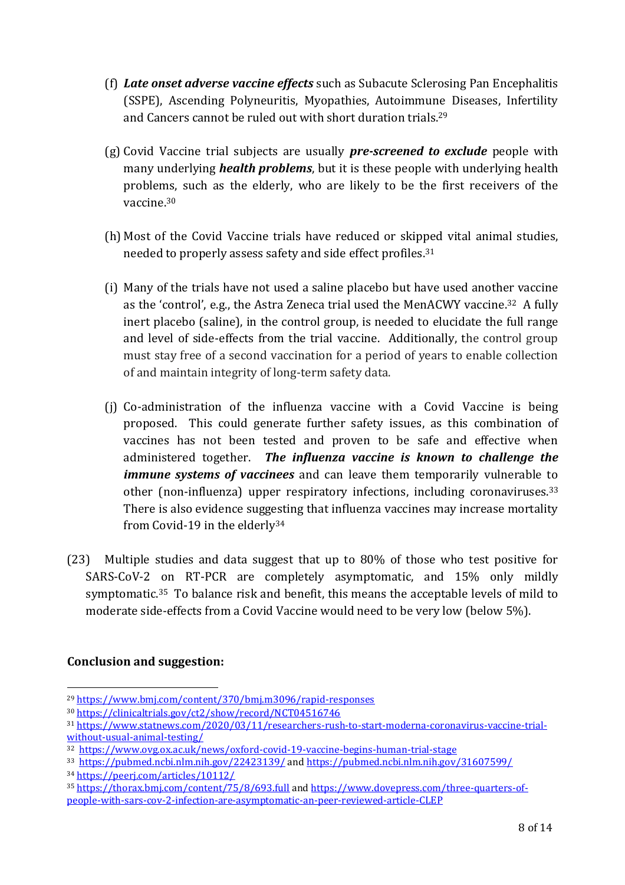- (f) *Late onset adverse vaccine effects* such as Subacute Sclerosing Pan Encephalitis (SSPE), Ascending Polyneuritis, Myopathies, Autoimmune Diseases, Infertility and Cancers cannot be ruled out with short duration trials. 29
- (g) Covid Vaccine trial subjects are usually *pre-screened to exclude* people with many underlying *health problems*, but it is these people with underlying health problems, such as the elderly, who are likely to be the first receivers of the vaccine. 30
- (h) Most of the Covid Vaccine trials have reduced or skipped vital animal studies, needed to properly assess safety and side effect profiles.<sup>31</sup>
- (i) Many of the trials have not used a saline placebo but have used another vaccine as the 'control', e.g., the Astra Zeneca trial used the MenACWY vaccine.<sup>32</sup> A fully inert placebo (saline), in the control group, is needed to elucidate the full range and level of side-effects from the trial vaccine. Additionally, the control group must stay free of a second vaccination for a period of years to enable collection of and maintain integrity of long-term safety data.
- (j) Co-administration of the influenza vaccine with a Covid Vaccine is being proposed. This could generate further safety issues, as this combination of vaccines has not been tested and proven to be safe and effective when administered together. *The influenza vaccine is known to challenge the immune systems of vaccinees* and can leave them temporarily vulnerable to other (non-influenza) upper respiratory infections, including coronaviruses.<sup>33</sup> There is also evidence suggesting that influenza vaccines may increase mortality from Covid-19 in the elderly<sup>34</sup>
- (23) Multiple studies and data suggest that up to 80% of those who test positive for SARS-CoV-2 on RT-PCR are completely asymptomatic, and 15% only mildly symptomatic.<sup>35</sup> To balance risk and benefit, this means the acceptable levels of mild to moderate side-effects from a Covid Vaccine would need to be very low (below 5%).

### **Conclusion and suggestion:**

<sup>29</sup> https://www.bmj.com/content/370/bmj.m3096/rapid-responses

<sup>30</sup> https://clinicaltrials.gov/ct2/show/record/NCT04516746

<sup>31</sup> https://www.statnews.com/2020/03/11/researchers-rush-to-start-moderna-coronavirus-vaccine-trialwithout-usual-animal-testing/

<sup>32</sup> https://www.ovg.ox.ac.uk/news/oxford-covid-19-vaccine-begins-human-trial-stage

<sup>33</sup> https://pubmed.ncbi.nlm.nih.gov/22423139/ and https://pubmed.ncbi.nlm.nih.gov/31607599/ <sup>34</sup> https://peerj.com/articles/10112/

<sup>35</sup> https://thorax.bmj.com/content/75/8/693.full and https://www.dovepress.com/three-quarters-ofpeople-with-sars-cov-2-infection-are-asymptomatic-an-peer-reviewed-article-CLEP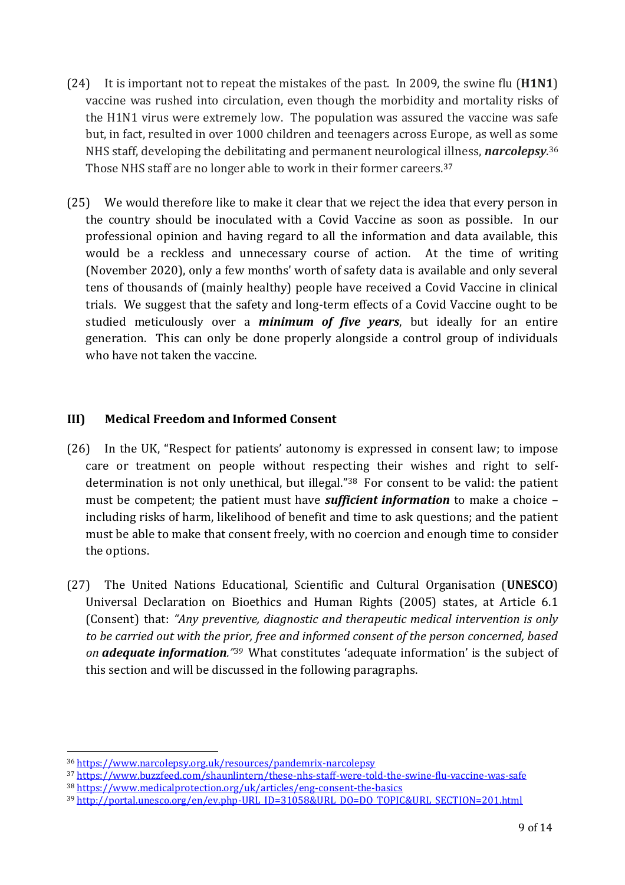- (24) It is important not to repeat the mistakes of the past. In 2009, the swine flu (**H1N1**) vaccine was rushed into circulation, even though the morbidity and mortality risks of the H1N1 virus were extremely low. The population was assured the vaccine was safe but, in fact, resulted in over 1000 children and teenagers across Europe, as well as some NHS staff, developing the debilitating and permanent neurological illness, *narcolepsy*. 36 Those NHS staff are no longer able to work in their former careers. 37
- (25) We would therefore like to make it clear that we reject the idea that every person in the country should be inoculated with a Covid Vaccine as soon as possible. In our professional opinion and having regard to all the information and data available, this would be a reckless and unnecessary course of action. At the time of writing (November 2020), only a few months' worth of safety data is available and only several tens of thousands of (mainly healthy) people have received a Covid Vaccine in clinical trials. We suggest that the safety and long-term effects of a Covid Vaccine ought to be studied meticulously over a *minimum of five years*, but ideally for an entire generation. This can only be done properly alongside a control group of individuals who have not taken the vaccine.

#### <span id="page-8-0"></span>**III) Medical Freedom and Informed Consent**

- (26) In the UK, "Respect for patients' autonomy is expressed in consent law; to impose care or treatment on people without respecting their wishes and right to selfdetermination is not only unethical, but illegal."38 For consent to be valid: the patient must be competent; the patient must have *sufficient information* to make a choice – including risks of harm, likelihood of benefit and time to ask questions; and the patient must be able to make that consent freely, with no coercion and enough time to consider the options.
- (27) The United Nations Educational, Scientific and Cultural Organisation (**UNESCO**) Universal Declaration on Bioethics and Human Rights (2005) states, at Article 6.1 (Consent) that: *"Any preventive, diagnostic and therapeutic medical intervention is only to be carried out with the prior, free and informed consent of the person concerned, based on adequate information." <sup>39</sup>* What constitutes 'adequate information' is the subject of this section and will be discussed in the following paragraphs.

<sup>36</sup> https://www.narcolepsy.org.uk/resources/pandemrix-narcolepsy

<sup>37</sup> https://www.buzzfeed.com/shaunlintern/these-nhs-staff-were-told-the-swine-flu-vaccine-was-safe

<sup>38</sup> https://www.medicalprotection.org/uk/articles/eng-consent-the-basics

<sup>39</sup> http://portal.unesco.org/en/ev.php-URL\_ID=31058&URL\_DO=DO\_TOPIC&URL\_SECTION=201.html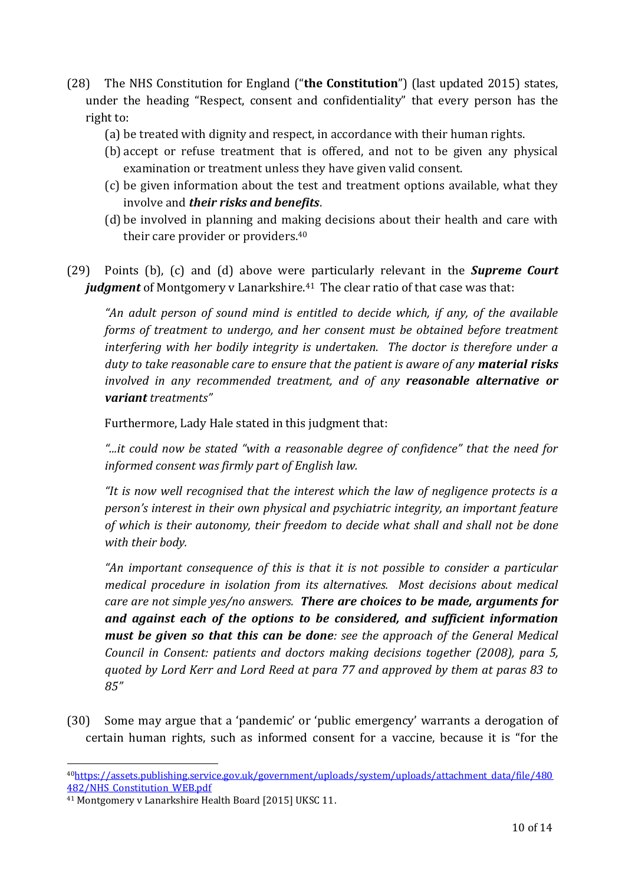- (28) The NHS Constitution for England ("**the Constitution**") (last updated 2015) states, under the heading "Respect, consent and confidentiality" that every person has the right to:
	- (a) be treated with dignity and respect, in accordance with their human rights.
	- (b) accept or refuse treatment that is offered, and not to be given any physical examination or treatment unless they have given valid consent.
	- (c) be given information about the test and treatment options available, what they involve and *their risks and benefits*.
	- (d) be involved in planning and making decisions about their health and care with their care provider or providers. 40
- (29) Points (b), (c) and (d) above were particularly relevant in the *Supreme Court judgment* of Montgomery v Lanarkshire. <sup>41</sup> The clear ratio of that case was that:

*"An adult person of sound mind is entitled to decide which, if any, of the available forms of treatment to undergo, and her consent must be obtained before treatment interfering with her bodily integrity is undertaken. The doctor is therefore under a duty to take reasonable care to ensure that the patient is aware of any material risks involved in any recommended treatment, and of any reasonable alternative or variant treatments"*

Furthermore, Lady Hale stated in this judgment that:

*"...it could now be stated "with a reasonable degree of confidence" that the need for informed consent was firmly part of English law.*

*"It is now well recognised that the interest which the law of negligence protects is a person's interest in their own physical and psychiatric integrity, an important feature of which is their autonomy, their freedom to decide what shall and shall not be done with their body.*

*"An important consequence of this is that it is not possible to consider a particular medical procedure in isolation from its alternatives. Most decisions about medical care are not simple yes/no answers. There are choices to be made, arguments for and against each of the options to be considered, and sufficient information must be given so that this can be done: see the approach of the General Medical Council in Consent: patients and doctors making decisions together (2008), para 5, quoted by Lord Kerr and Lord Reed at para 77 and approved by them at paras 83 to 85"*

(30) Some may argue that a 'pandemic' or 'public emergency' warrants a derogation of certain human rights, such as informed consent for a vaccine, because it is "for the

<sup>40</sup>https://assets.publishing.service.gov.uk/government/uploads/system/uploads/attachment\_data/file/480 482/NHS\_Constitution\_WEB.pdf

<sup>41</sup> Montgomery v Lanarkshire Health Board [2015] UKSC 11.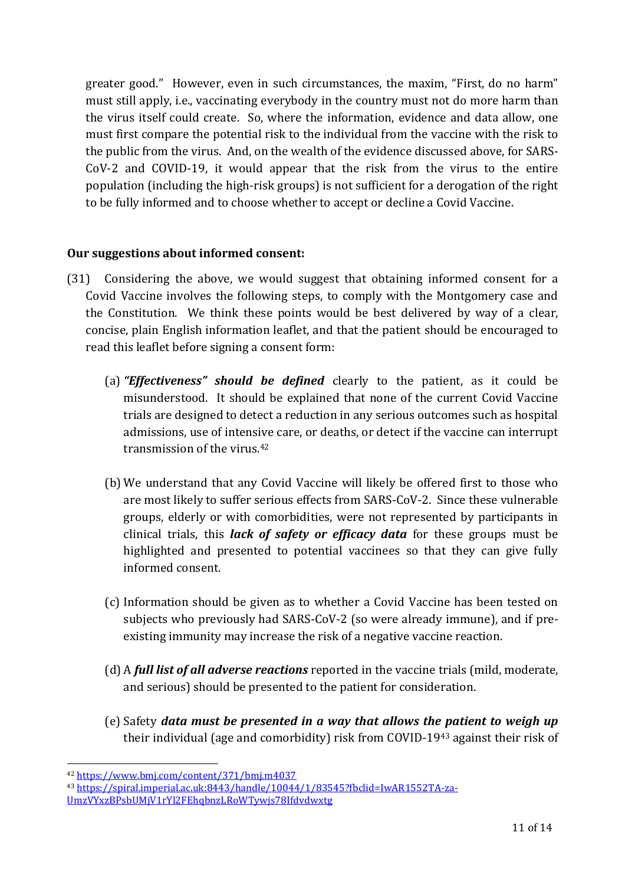greater good." However, even in such circumstances, the maxim, "First, do no harm" must still apply, i.e., vaccinating everybody in the country must not do more harm than the virus itself could create. So, where the information, evidence and data allow, one must first compare the potential risk to the individual from the vaccine with the risk to the public from the virus. And, on the wealth of the evidence discussed above, for SARS-CoV-2 and COVID-19, it would appear that the risk from the virus to the entire population (including the high-risk groups) is not sufficient for a derogation of the right to be fully informed and to choose whether to accept or decline a Covid Vaccine.

#### **Our suggestions about informed consent:**

- (31) Considering the above, we would suggest that obtaining informed consent for a Covid Vaccine involves the following steps, to comply with the Montgomery case and the Constitution. We think these points would be best delivered by way of a clear, concise, plain English information leaflet, and that the patient should be encouraged to read this leaflet before signing a consent form:
	- (a) *"Effectiveness" should be defined* clearly to the patient, as it could be misunderstood. It should be explained that none of the current Covid Vaccine trials are designed to detect a reduction in any serious outcomes such as hospital admissions, use of intensive care, or deaths, or detect if the vaccine can interrupt transmission of the virus.<sup>42</sup>
	- (b) We understand that any Covid Vaccine will likely be offered first to those who are most likely to suffer serious effects from SARS-CoV-2. Since these vulnerable groups, elderly or with comorbidities, were not represented by participants in clinical trials, this *lack of safety or efficacy data* for these groups must be highlighted and presented to potential vaccinees so that they can give fully informed consent.
	- (c) Information should be given as to whether a Covid Vaccine has been tested on subjects who previously had SARS-CoV-2 (so were already immune), and if preexisting immunity may increase the risk of a negative vaccine reaction.
	- (d) A *full list of all adverse reactions* reported in the vaccine trials (mild, moderate, and serious) should be presented to the patient for consideration.
	- (e) Safety *data must be presented in a way that allows the patient to weigh up* their individual (age and comorbidity) risk from COVID-19<sup>43</sup> against their risk of

<sup>42</sup> https://www.bmj.com/content/371/bmj.m4037

<sup>43</sup> https://spiral.imperial.ac.uk:8443/handle/10044/1/83545?fbclid=IwAR1552TA-za-

UmzVYxzBPsbUMjV1rYl2FEhqbnzLRoWTywjs78Ifdvdwxtg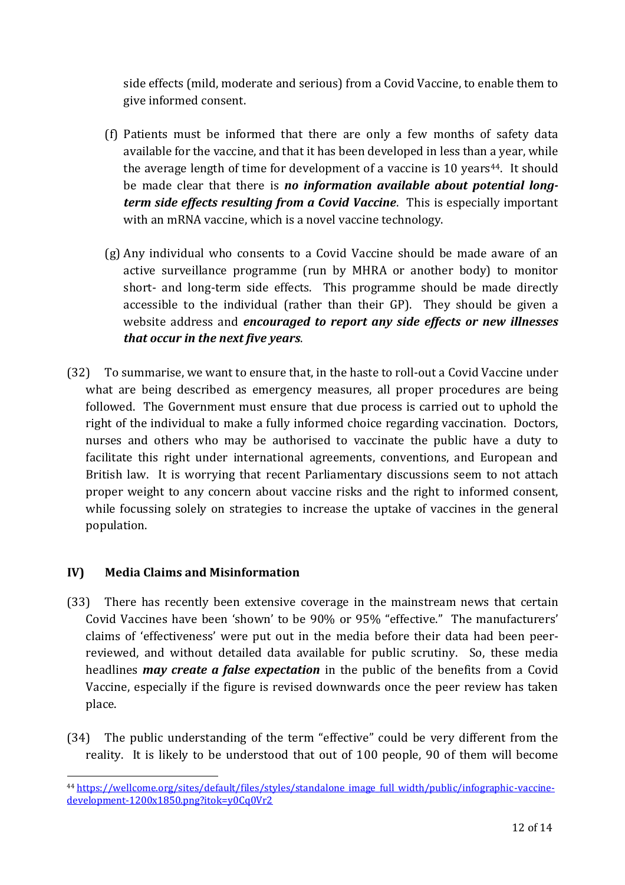side effects (mild, moderate and serious) from a Covid Vaccine, to enable them to give informed consent.

- (f) Patients must be informed that there are only a few months of safety data available for the vaccine, and that it has been developed in less than a year, while the average length of time for development of a vaccine is 10 years<sup>44</sup>. It should be made clear that there is *no information available about potential longterm side effects resulting from a Covid Vaccine*. This is especially important with an mRNA vaccine, which is a novel vaccine technology.
- (g) Any individual who consents to a Covid Vaccine should be made aware of an active surveillance programme (run by MHRA or another body) to monitor short- and long-term side effects. This programme should be made directly accessible to the individual (rather than their GP). They should be given a website address and *encouraged to report any side effects or new illnesses that occur in the next five years*.
- (32) To summarise, we want to ensure that, in the haste to roll-out a Covid Vaccine under what are being described as emergency measures, all proper procedures are being followed. The Government must ensure that due process is carried out to uphold the right of the individual to make a fully informed choice regarding vaccination. Doctors, nurses and others who may be authorised to vaccinate the public have a duty to facilitate this right under international agreements, conventions, and European and British law. It is worrying that recent Parliamentary discussions seem to not attach proper weight to any concern about vaccine risks and the right to informed consent, while focussing solely on strategies to increase the uptake of vaccines in the general population.

### <span id="page-11-0"></span>**IV) Media Claims and Misinformation**

- (33) There has recently been extensive coverage in the mainstream news that certain Covid Vaccines have been 'shown' to be 90% or 95% "effective." The manufacturers' claims of 'effectiveness' were put out in the media before their data had been peerreviewed, and without detailed data available for public scrutiny. So, these media headlines *may create a false expectation* in the public of the benefits from a Covid Vaccine, especially if the figure is revised downwards once the peer review has taken place.
- (34) The public understanding of the term "effective" could be very different from the reality. It is likely to be understood that out of 100 people, 90 of them will become

<sup>&</sup>lt;sup>44</sup> https://wellcome.org/sites/default/files/styles/standalone\_image\_full\_width/public/infographic-vaccinedevelopment-1200x1850.png?itok=y0Cq0Vr2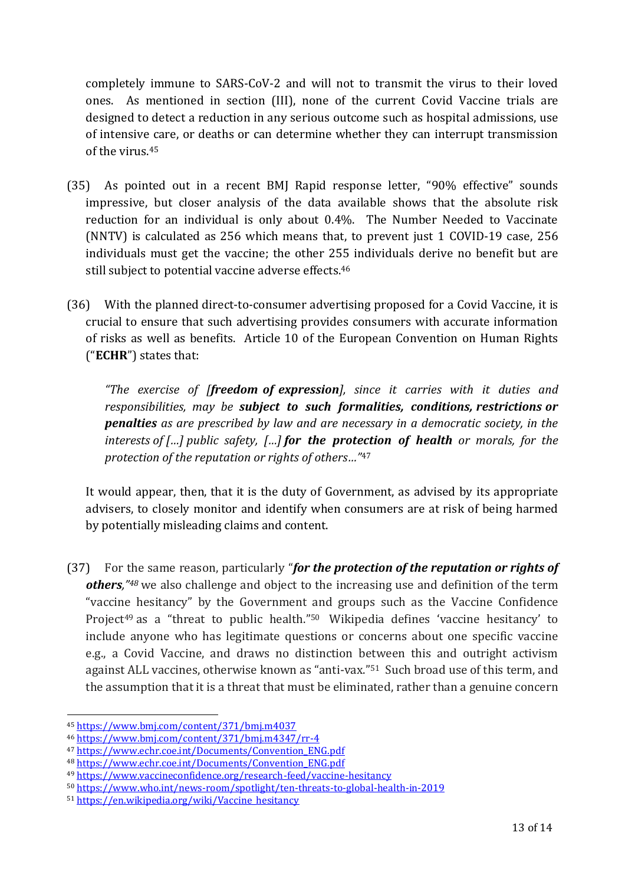completely immune to SARS-CoV-2 and will not to transmit the virus to their loved ones. As mentioned in section (III), none of the current Covid Vaccine trials are designed to detect a reduction in any serious outcome such as hospital admissions, use of intensive care, or deaths or can determine whether they can interrupt transmission of the virus.<sup>45</sup>

- (35) As pointed out in a recent BMJ Rapid response letter, "90% effective" sounds impressive, but closer analysis of the data available shows that the absolute risk reduction for an individual is only about 0.4%. The Number Needed to Vaccinate (NNTV) is calculated as 256 which means that, to prevent just 1 COVID-19 case, 256 individuals must get the vaccine; the other 255 individuals derive no benefit but are still subject to potential vaccine adverse effects.<sup>46</sup>
- (36) With the planned direct-to-consumer advertising proposed for a Covid Vaccine, it is crucial to ensure that such advertising provides consumers with accurate information of risks as well as benefits. Article 10 of the European Convention on Human Rights ("**ECHR**") states that:

*"The exercise of [freedom of expression], since it carries with it duties and responsibilities, may be subject to such formalities, conditions, restrictions or penalties as are prescribed by law and are necessary in a democratic society, in the interests of […] public safety, […] for the protection of health or morals, for the protection of the reputation or rights of others…"*<sup>47</sup>

It would appear, then, that it is the duty of Government, as advised by its appropriate advisers, to closely monitor and identify when consumers are at risk of being harmed by potentially misleading claims and content.

(37) For the same reason, particularly "*for the protection of the reputation or rights of others,"<sup>48</sup>* we also challenge and object to the increasing use and definition of the term "vaccine hesitancy" by the Government and groups such as the Vaccine Confidence Project<sup>49</sup> as a "threat to public health."<sup>50</sup> Wikipedia defines 'vaccine hesitancy' to include anyone who has legitimate questions or concerns about one specific vaccine e.g., a Covid Vaccine, and draws no distinction between this and outright activism against ALL vaccines, otherwise known as "anti-vax." <sup>51</sup> Such broad use of this term, and the assumption that it is a threat that must be eliminated, rather than a genuine concern

<sup>45</sup> https://www.bmj.com/content/371/bmj.m4037

<sup>46</sup> https://www.bmj.com/content/371/bmj.m4347/rr-4

<sup>47</sup> https://www.echr.coe.int/Documents/Convention\_ENG.pdf

<sup>48</sup> https://www.echr.coe.int/Documents/Convention\_ENG.pdf

<sup>49</sup> https://www.vaccineconfidence.org/research-feed/vaccine-hesitancy

<sup>50</sup> https://www.who.int/news-room/spotlight/ten-threats-to-global-health-in-2019

<sup>51</sup> https://en.wikipedia.org/wiki/Vaccine\_hesitancy